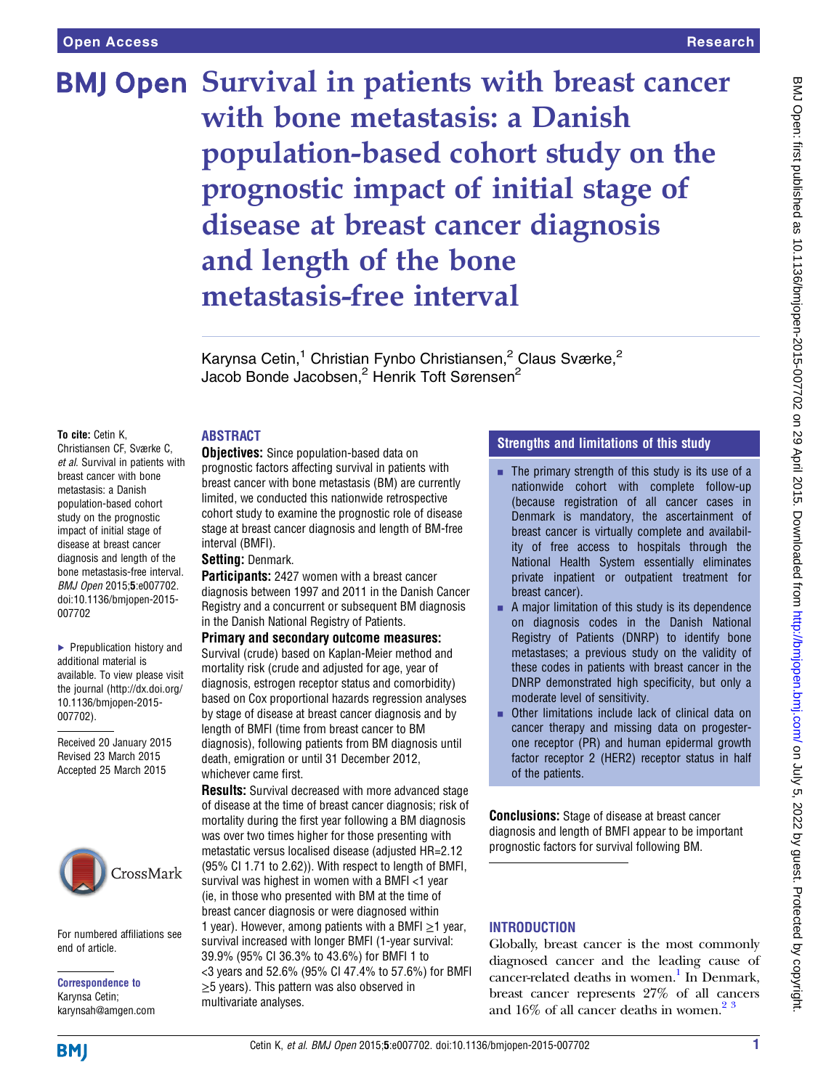# **BMJ Open Survival in patients with breast cancer** with bone metastasis: a Danish population-based cohort study on the prognostic impact of initial stage of disease at breast cancer diagnosis and length of the bone metastasis-free interval

Karynsa Cetin,<sup>1</sup> Christian Fynbo Christiansen,<sup>2</sup> Claus Sværke,<sup>2</sup> Jacob Bonde Jacobsen,<sup>2</sup> Henrik Toft Sørensen<sup>2</sup>

#### To cite: Cetin K,

Christiansen CF, Sværke C, et al. Survival in patients with breast cancer with bone metastasis: a Danish population-based cohort study on the prognostic impact of initial stage of disease at breast cancer diagnosis and length of the bone metastasis-free interval. BMJ Open 2015;5:e007702. doi:10.1136/bmjopen-2015- 007702

▶ Prepublication history and additional material is available. To view please visit the journal [\(http://dx.doi.org/](http://dx.doi.org/10.1136/bmjopen-2015-007702) [10.1136/bmjopen-2015-](http://dx.doi.org/10.1136/bmjopen-2015-007702) [007702\)](http://dx.doi.org/10.1136/bmjopen-2015-007702).

Received 20 January 2015 Revised 23 March 2015 Accepted 25 March 2015



For numbered affiliations see end of article.

Correspondence to Karynsa Cetin; karynsah@amgen.com

#### ABSTRACT

**Objectives:** Since population-based data on prognostic factors affecting survival in patients with breast cancer with bone metastasis (BM) are currently limited, we conducted this nationwide retrospective cohort study to examine the prognostic role of disease stage at breast cancer diagnosis and length of BM-free interval (BMFI).

#### Setting: Denmark.

**Participants:** 2427 women with a breast cancer diagnosis between 1997 and 2011 in the Danish Cancer Registry and a concurrent or subsequent BM diagnosis in the Danish National Registry of Patients.

Primary and secondary outcome measures: Survival (crude) based on Kaplan-Meier method and mortality risk (crude and adjusted for age, year of diagnosis, estrogen receptor status and comorbidity) based on Cox proportional hazards regression analyses by stage of disease at breast cancer diagnosis and by length of BMFI (time from breast cancer to BM diagnosis), following patients from BM diagnosis until death, emigration or until 31 December 2012, whichever came first.

**Results:** Survival decreased with more advanced stage of disease at the time of breast cancer diagnosis; risk of mortality during the first year following a BM diagnosis was over two times higher for those presenting with metastatic versus localised disease (adjusted HR=2.12 (95% CI 1.71 to 2.62)). With respect to length of BMFI, survival was highest in women with a BMFI <1 year (ie, in those who presented with BM at the time of breast cancer diagnosis or were diagnosed within 1 year). However, among patients with a BMFI  $\geq$ 1 year, survival increased with longer BMFI (1-year survival: 39.9% (95% CI 36.3% to 43.6%) for BMFI 1 to <3 years and 52.6% (95% CI 47.4% to 57.6%) for BMFI ≥5 years). This pattern was also observed in multivariate analyses.

# Strengths and limitations of this study

- $\blacksquare$  The primary strength of this study is its use of a nationwide cohort with complete follow-up (because registration of all cancer cases in Denmark is mandatory, the ascertainment of breast cancer is virtually complete and availability of free access to hospitals through the National Health System essentially eliminates private inpatient or outpatient treatment for breast cancer).
- A major limitation of this study is its dependence on diagnosis codes in the Danish National Registry of Patients (DNRP) to identify bone metastases; a previous study on the validity of these codes in patients with breast cancer in the DNRP demonstrated high specificity, but only a moderate level of sensitivity.
- **Other limitations include lack of clinical data on** cancer therapy and missing data on progesterone receptor (PR) and human epidermal growth factor receptor 2 (HER2) receptor status in half of the patients.

Conclusions: Stage of disease at breast cancer diagnosis and length of BMFI appear to be important prognostic factors for survival following BM.

#### **INTRODUCTION**

Globally, breast cancer is the most commonly diagnosed cancer and the leading cause of cancer-related deaths in women.<sup>1</sup> In Denmark, breast cancer represents 27% of all cancers and  $16\%$  of all cancer deaths in women.<sup>[2 3](#page-7-0)</sup>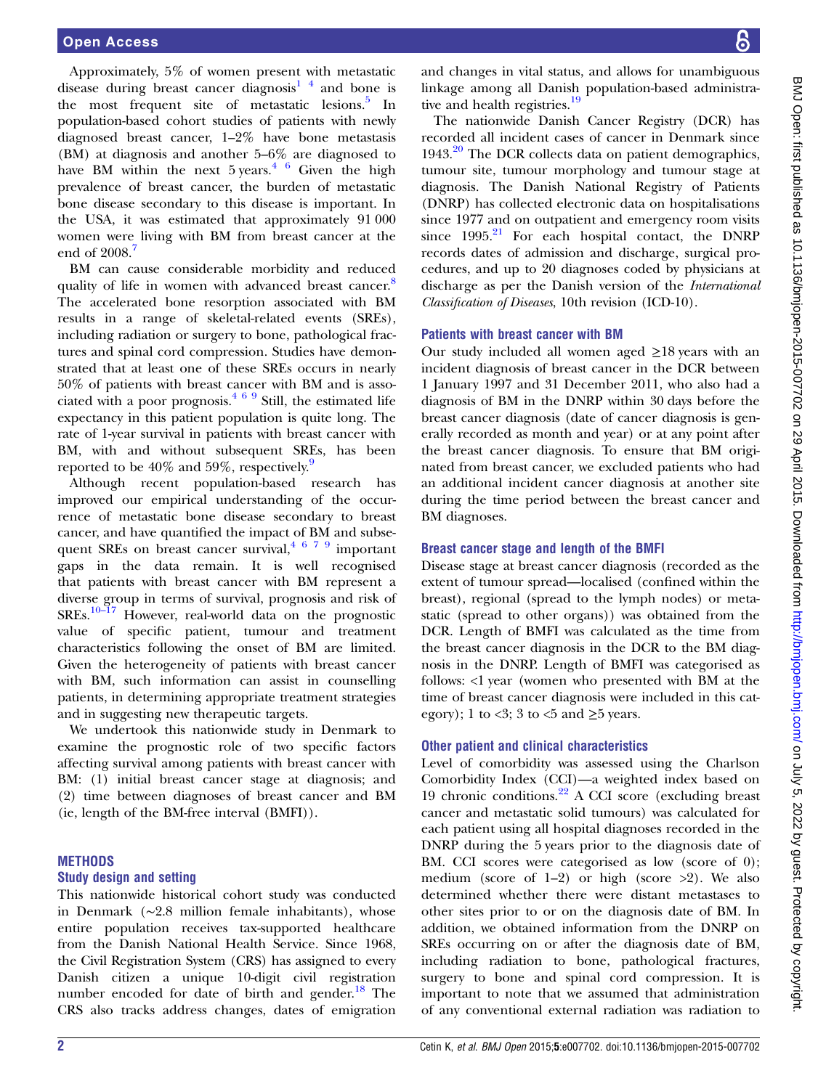Approximately, 5% of women present with metastatic disease during breast cancer diagnosis<sup>1</sup>  $\frac{4}{3}$  and bone is the most frequent site of metastatic lesions.<sup>[5](#page-7-0)</sup> In population-based cohort studies of patients with newly diagnosed breast cancer, 1–2% have bone metastasis (BM) at diagnosis and another 5–6% are diagnosed to have BM within the next  $5$  years.<sup>[4 6](#page-7-0)</sup> Given the high prevalence of breast cancer, the burden of metastatic bone disease secondary to this disease is important. In the USA, it was estimated that approximately 91 000 women were living with BM from breast cancer at the end of 2008.<sup>[7](#page-7-0)</sup>

BM can cause considerable morbidity and reduced quality of life in women with advanced breast cancer.<sup>[8](#page-7-0)</sup> The accelerated bone resorption associated with BM results in a range of skeletal-related events (SREs), including radiation or surgery to bone, pathological fractures and spinal cord compression. Studies have demonstrated that at least one of these SREs occurs in nearly 50% of patients with breast cancer with BM and is associated with a poor prognosis. $469$  Still, the estimated life expectancy in this patient population is quite long. The rate of 1-year survival in patients with breast cancer with BM, with and without subsequent SREs, has been reported to be  $40\%$  and  $59\%$ , respectively.<sup>9</sup>

Although recent population-based research has improved our empirical understanding of the occurrence of metastatic bone disease secondary to breast cancer, and have quantified the impact of BM and subsequent SREs on breast cancer survival,  $4 \times 7 \times 9$  important gaps in the data remain. It is well recognised that patients with breast cancer with BM represent a diverse group in terms of survival, prognosis and risk of SREs.10–[17](#page-7-0) However, real-world data on the prognostic value of specific patient, tumour and treatment characteristics following the onset of BM are limited. Given the heterogeneity of patients with breast cancer with BM, such information can assist in counselling patients, in determining appropriate treatment strategies and in suggesting new therapeutic targets.

We undertook this nationwide study in Denmark to examine the prognostic role of two specific factors affecting survival among patients with breast cancer with BM: (1) initial breast cancer stage at diagnosis; and (2) time between diagnoses of breast cancer and BM (ie, length of the BM-free interval (BMFI)).

# METHODS

# Study design and setting

This nationwide historical cohort study was conducted in Denmark (∼2.8 million female inhabitants), whose entire population receives tax-supported healthcare from the Danish National Health Service. Since 1968, the Civil Registration System (CRS) has assigned to every Danish citizen a unique 10-digit civil registration number encoded for date of birth and gender.<sup>18</sup> The CRS also tracks address changes, dates of emigration

and changes in vital status, and allows for unambiguous linkage among all Danish population-based administra-tive and health registries.<sup>[19](#page-7-0)</sup>

The nationwide Danish Cancer Registry (DCR) has recorded all incident cases of cancer in Denmark since  $1943.<sup>20</sup>$  $1943.<sup>20</sup>$  $1943.<sup>20</sup>$  The DCR collects data on patient demographics, tumour site, tumour morphology and tumour stage at diagnosis. The Danish National Registry of Patients (DNRP) has collected electronic data on hospitalisations since 1977 and on outpatient and emergency room visits since  $1995.<sup>21</sup>$  $1995.<sup>21</sup>$  $1995.<sup>21</sup>$  For each hospital contact, the DNRP records dates of admission and discharge, surgical procedures, and up to 20 diagnoses coded by physicians at discharge as per the Danish version of the International Classification of Diseases, 10th revision (ICD-10).

## Patients with breast cancer with BM

Our study included all women aged  $\geq$ 18 years with an incident diagnosis of breast cancer in the DCR between 1 January 1997 and 31 December 2011, who also had a diagnosis of BM in the DNRP within 30 days before the breast cancer diagnosis (date of cancer diagnosis is generally recorded as month and year) or at any point after the breast cancer diagnosis. To ensure that BM originated from breast cancer, we excluded patients who had an additional incident cancer diagnosis at another site during the time period between the breast cancer and BM diagnoses.

#### Breast cancer stage and length of the BMFI

Disease stage at breast cancer diagnosis (recorded as the extent of tumour spread—localised (confined within the breast), regional (spread to the lymph nodes) or metastatic (spread to other organs)) was obtained from the DCR. Length of BMFI was calculated as the time from the breast cancer diagnosis in the DCR to the BM diagnosis in the DNRP. Length of BMFI was categorised as follows: <1 year (women who presented with BM at the time of breast cancer diagnosis were included in this category); 1 to <3; 3 to <5 and  $\geq$ 5 years.

#### Other patient and clinical characteristics

Level of comorbidity was assessed using the Charlson Comorbidity Index (CCI)—a weighted index based on 19 chronic conditions. $22$  A CCI score (excluding breast cancer and metastatic solid tumours) was calculated for each patient using all hospital diagnoses recorded in the DNRP during the 5 years prior to the diagnosis date of BM. CCI scores were categorised as low (score of 0); medium (score of 1–2) or high (score >2). We also determined whether there were distant metastases to other sites prior to or on the diagnosis date of BM. In addition, we obtained information from the DNRP on SREs occurring on or after the diagnosis date of BM, including radiation to bone, pathological fractures, surgery to bone and spinal cord compression. It is important to note that we assumed that administration of any conventional external radiation was radiation to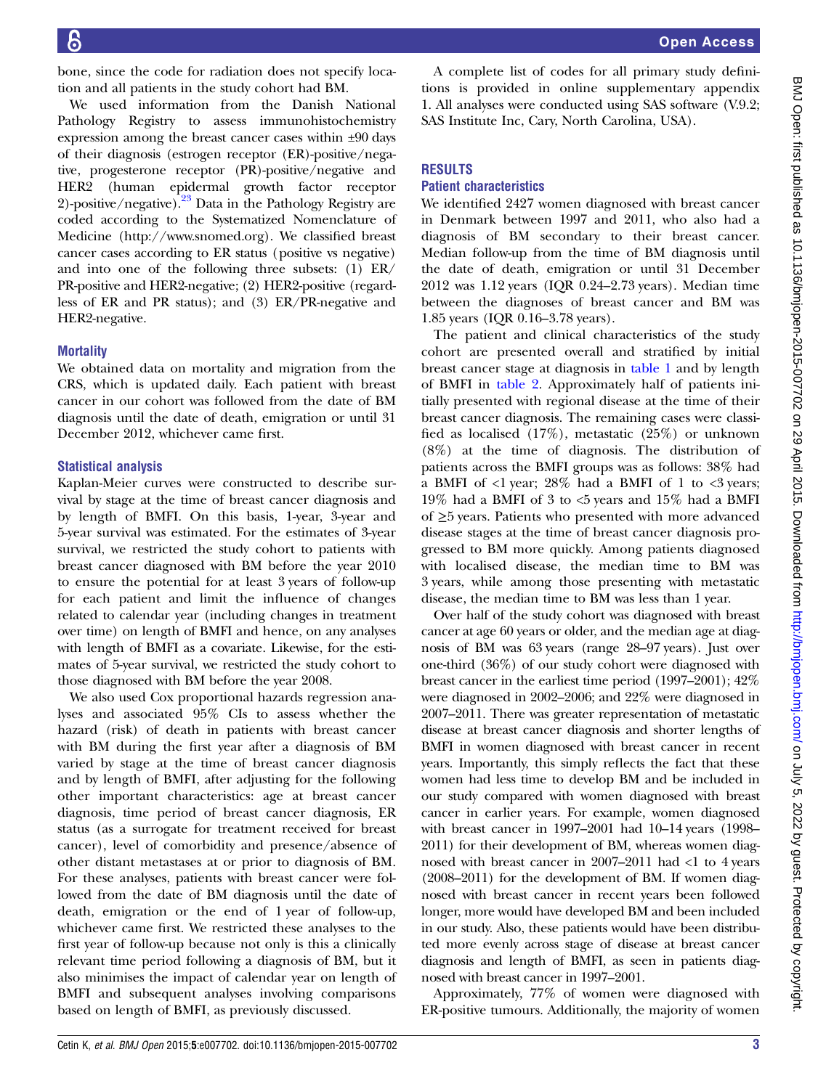bone, since the code for radiation does not specify location and all patients in the study cohort had BM.

We used information from the Danish National Pathology Registry to assess immunohistochemistry expression among the breast cancer cases within ±90 days of their diagnosis (estrogen receptor (ER)-positive/negative, progesterone receptor (PR)-positive/negative and HER2 (human epidermal growth factor receptor 2)-positive/negative).<sup>[23](#page-7-0)</sup> Data in the Pathology Registry are coded according to the Systematized Nomenclature of Medicine [\(http://www.snomed.org](http://www.snomed.org)). We classified breast cancer cases according to ER status (positive vs negative) and into one of the following three subsets: (1) ER/ PR-positive and HER2-negative; (2) HER2-positive (regardless of ER and PR status); and (3) ER/PR-negative and HER2-negative.

#### **Mortality**

We obtained data on mortality and migration from the CRS, which is updated daily. Each patient with breast cancer in our cohort was followed from the date of BM diagnosis until the date of death, emigration or until 31 December 2012, whichever came first.

#### Statistical analysis

Kaplan-Meier curves were constructed to describe survival by stage at the time of breast cancer diagnosis and by length of BMFI. On this basis, 1-year, 3-year and 5-year survival was estimated. For the estimates of 3-year survival, we restricted the study cohort to patients with breast cancer diagnosed with BM before the year 2010 to ensure the potential for at least 3 years of follow-up for each patient and limit the influence of changes related to calendar year (including changes in treatment over time) on length of BMFI and hence, on any analyses with length of BMFI as a covariate. Likewise, for the estimates of 5-year survival, we restricted the study cohort to those diagnosed with BM before the year 2008.

We also used Cox proportional hazards regression analyses and associated 95% CIs to assess whether the hazard (risk) of death in patients with breast cancer with BM during the first year after a diagnosis of BM varied by stage at the time of breast cancer diagnosis and by length of BMFI, after adjusting for the following other important characteristics: age at breast cancer diagnosis, time period of breast cancer diagnosis, ER status (as a surrogate for treatment received for breast cancer), level of comorbidity and presence/absence of other distant metastases at or prior to diagnosis of BM. For these analyses, patients with breast cancer were followed from the date of BM diagnosis until the date of death, emigration or the end of 1 year of follow-up, whichever came first. We restricted these analyses to the first year of follow-up because not only is this a clinically relevant time period following a diagnosis of BM, but it also minimises the impact of calendar year on length of BMFI and subsequent analyses involving comparisons based on length of BMFI, as previously discussed.

A complete list of codes for all primary study definitions is provided in online supplementary appendix 1. All analyses were conducted using SAS software (V.9.2; SAS Institute Inc, Cary, North Carolina, USA).

#### RESULTS

#### Patient characteristics

We identified 2427 women diagnosed with breast cancer in Denmark between 1997 and 2011, who also had a diagnosis of BM secondary to their breast cancer. Median follow-up from the time of BM diagnosis until the date of death, emigration or until 31 December 2012 was 1.12 years (IQR 0.24–2.73 years). Median time between the diagnoses of breast cancer and BM was 1.85 years (IQR 0.16–3.78 years).

The patient and clinical characteristics of the study cohort are presented overall and stratified by initial breast cancer stage at diagnosis in [table 1](#page-3-0) and by length of BMFI in [table 2](#page-4-0). Approximately half of patients initially presented with regional disease at the time of their breast cancer diagnosis. The remaining cases were classified as localised (17%), metastatic (25%) or unknown (8%) at the time of diagnosis. The distribution of patients across the BMFI groups was as follows: 38% had a BMFI of  $\langle$ 1 year; 28% had a BMFI of 1 to  $\langle$ 3 years; 19% had a BMFI of 3 to <5 years and 15% had a BMFI of ≥5 years. Patients who presented with more advanced disease stages at the time of breast cancer diagnosis progressed to BM more quickly. Among patients diagnosed with localised disease, the median time to BM was 3 years, while among those presenting with metastatic disease, the median time to BM was less than 1 year.

Over half of the study cohort was diagnosed with breast cancer at age 60 years or older, and the median age at diagnosis of BM was 63 years (range 28–97 years). Just over one-third (36%) of our study cohort were diagnosed with breast cancer in the earliest time period (1997–2001); 42% were diagnosed in 2002–2006; and 22% were diagnosed in 2007–2011. There was greater representation of metastatic disease at breast cancer diagnosis and shorter lengths of BMFI in women diagnosed with breast cancer in recent years. Importantly, this simply reflects the fact that these women had less time to develop BM and be included in our study compared with women diagnosed with breast cancer in earlier years. For example, women diagnosed with breast cancer in 1997–2001 had 10–14 years (1998– 2011) for their development of BM, whereas women diagnosed with breast cancer in 2007–2011 had <1 to 4 years (2008–2011) for the development of BM. If women diagnosed with breast cancer in recent years been followed longer, more would have developed BM and been included in our study. Also, these patients would have been distributed more evenly across stage of disease at breast cancer diagnosis and length of BMFI, as seen in patients diagnosed with breast cancer in 1997–2001.

Approximately, 77% of women were diagnosed with ER-positive tumours. Additionally, the majority of women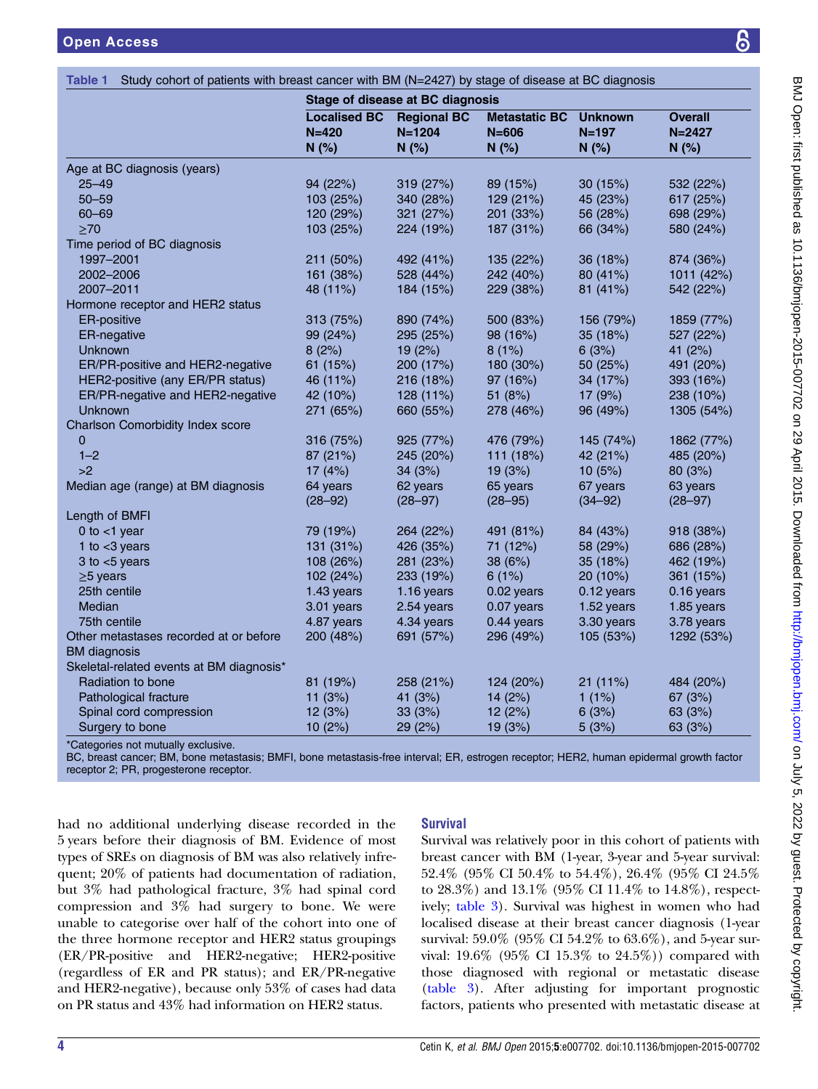|                                          | Stage of disease at BC diagnosis         |                                          |                                           |                                      |                                       |
|------------------------------------------|------------------------------------------|------------------------------------------|-------------------------------------------|--------------------------------------|---------------------------------------|
|                                          | <b>Localised BC</b><br>$N = 420$<br>N(%) | <b>Regional BC</b><br>$N = 1204$<br>N(%) | <b>Metastatic BC</b><br>$N = 606$<br>N(%) | <b>Unknown</b><br>$N = 197$<br>N(% ) | <b>Overall</b><br>$N = 2427$<br>N(% ) |
| Age at BC diagnosis (years)              |                                          |                                          |                                           |                                      |                                       |
| $25 - 49$                                | 94 (22%)                                 | 319 (27%)                                | 89 (15%)                                  | 30 (15%)                             | 532 (22%)                             |
| $50 - 59$                                | 103 (25%)                                | 340 (28%)                                | 129 (21%)                                 | 45 (23%)                             | 617 (25%)                             |
| $60 - 69$                                | 120 (29%)                                | 321 (27%)                                | 201(33%)                                  | 56 (28%)                             | 698 (29%)                             |
| $\geq 70$                                | 103 (25%)                                | 224 (19%)                                | 187 (31%)                                 | 66 (34%)                             | 580 (24%)                             |
| Time period of BC diagnosis              |                                          |                                          |                                           |                                      |                                       |
| 1997-2001                                | 211 (50%)                                | 492 (41%)                                | 135 (22%)                                 | 36 (18%)                             | 874 (36%)                             |
| 2002-2006                                | 161 (38%)                                | 528 (44%)                                | 242 (40%)                                 | 80 (41%)                             | 1011 (42%)                            |
| 2007-2011                                | 48 (11%)                                 | 184 (15%)                                | 229 (38%)                                 | 81(41%)                              | 542 (22%)                             |
| Hormone receptor and HER2 status         |                                          |                                          |                                           |                                      |                                       |
| <b>ER-positive</b>                       | 313 (75%)                                | 890 (74%)                                | 500 (83%)                                 | 156 (79%)                            | 1859 (77%)                            |
| ER-negative                              | 99 (24%)                                 | 295 (25%)                                | 98 (16%)                                  | 35 (18%)                             | 527 (22%)                             |
| <b>Unknown</b>                           | 8(2%)                                    | 19(2%)                                   | 8(1%)                                     | 6(3%)                                | 41 (2%)                               |
| ER/PR-positive and HER2-negative         | 61 (15%)                                 | 200 (17%)                                | 180 (30%)                                 | 50 (25%)                             | 491 (20%)                             |
| HER2-positive (any ER/PR status)         | 46 (11%)                                 | 216 (18%)                                | 97 (16%)                                  | 34 (17%)                             | 393 (16%)                             |
| ER/PR-negative and HER2-negative         | 42 (10%)                                 | $128(11\%)$                              | 51(8%)                                    | 17(9%)                               | 238 (10%)                             |
| <b>Unknown</b>                           | 271 (65%)                                | 660 (55%)                                | 278 (46%)                                 | 96 (49%)                             | 1305 (54%)                            |
| Charlson Comorbidity Index score         |                                          |                                          |                                           |                                      |                                       |
| 0                                        | 316 (75%)                                | 925 (77%)                                | 476 (79%)                                 | 145 (74%)                            | 1862 (77%)                            |
| $1 - 2$                                  | 87 (21%)                                 | 245 (20%)                                | 111 (18%)                                 | 42 (21%)                             | 485 (20%)                             |
| >2                                       | 17(4%)                                   | 34(3%)                                   | 19 (3%)                                   | 10(5%)                               | 80 (3%)                               |
| Median age (range) at BM diagnosis       | 64 years                                 | 62 years                                 | 65 years                                  | 67 years                             | 63 years                              |
|                                          | $(28 - 92)$                              | $(28 - 97)$                              | $(28 - 95)$                               | $(34 - 92)$                          | $(28 - 97)$                           |
| Length of BMFI                           |                                          |                                          |                                           |                                      |                                       |
| 0 to $<$ 1 year                          | 79 (19%)                                 | 264 (22%)                                | 491 (81%)                                 | 84 (43%)                             | 918 (38%)                             |
| 1 to $<$ 3 years                         | 131 (31%)                                | 426 (35%)                                | 71 (12%)                                  | 58 (29%)                             | 686 (28%)                             |
| 3 to $<$ 5 years                         | 108 (26%)                                | 281 (23%)                                | 38 (6%)                                   | 35 (18%)                             | 462 (19%)                             |
| $\geq$ 5 years                           | 102 (24%)                                | 233 (19%)                                | 6(1%)                                     | 20 (10%)                             | 361 (15%)                             |
| 25th centile                             | 1.43 years                               | $1.16$ years                             | 0.02 years                                | 0.12 years                           | $0.16$ years                          |
| Median                                   | 3.01 years                               | 2.54 years                               | 0.07 years                                | 1.52 years                           | 1.85 years                            |
| 75th centile                             | 4.87 years                               | 4.34 years                               | 0.44 years                                | 3.30 years                           | 3.78 years                            |
| Other metastases recorded at or before   | 200 (48%)                                | 691 (57%)                                | 296 (49%)                                 | 105 (53%)                            | 1292 (53%)                            |
| <b>BM</b> diagnosis                      |                                          |                                          |                                           |                                      |                                       |
| Skeletal-related events at BM diagnosis* |                                          |                                          |                                           |                                      |                                       |
| Radiation to bone                        | 81 (19%)                                 | 258 (21%)                                | 124 (20%)                                 | 21(11%)                              | 484 (20%)                             |
| Pathological fracture                    | 11(3%)                                   | 41 (3%)                                  | 14(2%)                                    | 1(1%)                                | 67 (3%)                               |
| Spinal cord compression                  | 12 (3%)                                  | 33 (3%)                                  | 12 (2%)                                   | 6(3%)                                | 63 (3%)                               |
| Surgery to bone                          | 10(2%)                                   | 29 (2%)                                  | 19(3%)                                    | 5(3%)                                | 63 (3%)                               |
| *Categories not mutually exclusive.      |                                          |                                          |                                           |                                      |                                       |
|                                          |                                          |                                          |                                           |                                      |                                       |

<span id="page-3-0"></span>Table 1 Study cohort of patients with breast cancer with BM (N=2427) by stage of disease at BC diagnosis

BC, breast cancer; BM, bone metastasis; BMFI, bone metastasis-free interval; ER, estrogen receptor; HER2, human epidermal growth factor receptor 2; PR, progesterone receptor.

had no additional underlying disease recorded in the 5 years before their diagnosis of BM. Evidence of most types of SREs on diagnosis of BM was also relatively infrequent; 20% of patients had documentation of radiation, but 3% had pathological fracture, 3% had spinal cord compression and 3% had surgery to bone. We were unable to categorise over half of the cohort into one of the three hormone receptor and HER2 status groupings (ER/PR-positive and HER2-negative; HER2-positive (regardless of ER and PR status); and ER/PR-negative and HER2-negative), because only 53% of cases had data on PR status and 43% had information on HER2 status.

# Survival

Survival was relatively poor in this cohort of patients with breast cancer with BM (1-year, 3-year and 5-year survival: 52.4% (95% CI 50.4% to 54.4%), 26.4% (95% CI 24.5% to 28.3%) and 13.1% (95% CI 11.4% to 14.8%), respectively; [table 3\)](#page-5-0). Survival was highest in women who had localised disease at their breast cancer diagnosis (1-year survival: 59.0% (95% CI 54.2% to 63.6%), and 5-year survival: 19.6% (95% CI 15.3% to 24.5%)) compared with those diagnosed with regional or metastatic disease [\(table 3](#page-5-0)). After adjusting for important prognostic factors, patients who presented with metastatic disease at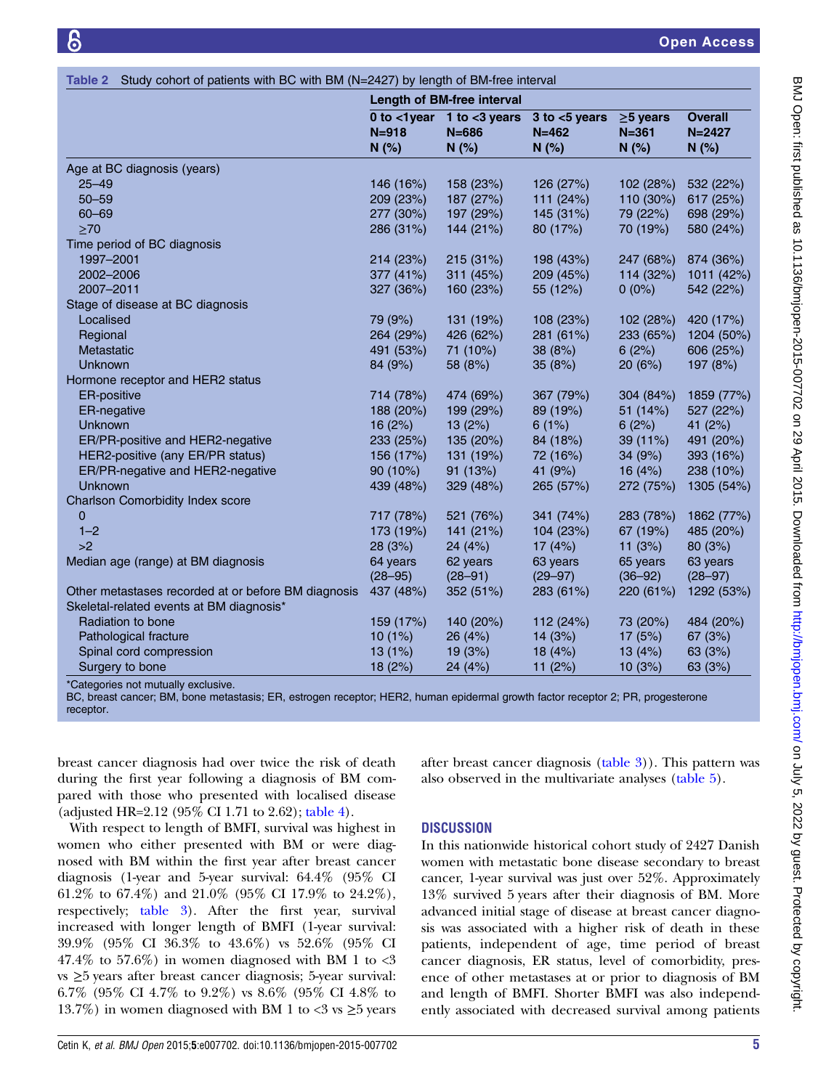|                                                     | Length of BM-free interval |                                                       |                                         |                                     |                                      |
|-----------------------------------------------------|----------------------------|-------------------------------------------------------|-----------------------------------------|-------------------------------------|--------------------------------------|
|                                                     | $N = 918$<br>N(%)          | 0 to $<$ 1 year 1 to $<$ 3 years<br>$N = 686$<br>N(%) | $3$ to $<$ 5 years<br>$N = 462$<br>N(%) | $\geq$ 5 years<br>$N = 361$<br>N(%) | <b>Overall</b><br>$N = 2427$<br>N(%) |
| Age at BC diagnosis (years)                         |                            |                                                       |                                         |                                     |                                      |
| $25 - 49$                                           | 146 (16%)                  | 158 (23%)                                             | 126 (27%)                               | 102 (28%)                           | 532 (22%)                            |
| $50 - 59$                                           | 209 (23%)                  | 187 (27%)                                             | 111 (24%)                               | 110 (30%)                           | 617 (25%)                            |
| $60 - 69$                                           | 277 (30%)                  | 197 (29%)                                             | 145 (31%)                               | 79 (22%)                            | 698 (29%)                            |
| $\geq 70$                                           | 286 (31%)                  | 144 (21%)                                             | 80 (17%)                                | 70 (19%)                            | 580 (24%)                            |
| Time period of BC diagnosis                         |                            |                                                       |                                         |                                     |                                      |
| 1997-2001                                           | 214 (23%)                  | 215 (31%)                                             | 198 (43%)                               | 247 (68%)                           | 874 (36%)                            |
| 2002-2006                                           | 377 (41%)                  | 311 (45%)                                             | 209 (45%)                               | 114 (32%)                           | 1011 (42%)                           |
| 2007-2011                                           | 327 (36%)                  | 160 (23%)                                             | 55 (12%)                                | $0(0\%)$                            | 542 (22%)                            |
| Stage of disease at BC diagnosis                    |                            |                                                       |                                         |                                     |                                      |
| Localised                                           | 79 (9%)                    | 131 (19%)                                             | 108 (23%)                               | 102(28%)                            | 420 (17%)                            |
| Regional                                            | 264 (29%)                  | 426 (62%)                                             | 281 (61%)                               | 233 (65%)                           | 1204 (50%)                           |
| Metastatic                                          | 491 (53%)                  | 71 (10%)                                              | 38(8%)                                  | 6(2%)                               | 606 (25%)                            |
| Unknown                                             | 84 (9%)                    | 58 (8%)                                               | 35(8%)                                  | 20(6%)                              | 197 (8%)                             |
| Hormone receptor and HER2 status                    |                            |                                                       |                                         |                                     |                                      |
| <b>ER-positive</b>                                  | 714 (78%)                  | 474 (69%)                                             | 367 (79%)                               | 304 (84%)                           | 1859 (77%)                           |
| ER-negative                                         | 188 (20%)                  | 199 (29%)                                             | 89 (19%)                                | 51 (14%)                            | 527 (22%)                            |
| Unknown                                             | 16(2%)                     | 13(2%)                                                | 6(1%)                                   | 6(2%)                               | 41 (2%)                              |
| ER/PR-positive and HER2-negative                    | 233 (25%)                  | 135 (20%)                                             | 84 (18%)                                | 39 (11%)                            | 491 (20%)                            |
| HER2-positive (any ER/PR status)                    | 156 (17%)                  | 131 (19%)                                             | 72 (16%)                                | 34 (9%)                             | 393 (16%)                            |
| ER/PR-negative and HER2-negative                    | 90(10%)                    | 91 (13%)                                              | 41 (9%)                                 | 16 $(4%)$                           | 238 (10%)                            |
| Unknown                                             | 439 (48%)                  | 329 (48%)                                             | 265 (57%)                               | 272 (75%)                           | 1305 (54%)                           |
| Charlson Comorbidity Index score                    |                            |                                                       |                                         |                                     |                                      |
| 0                                                   | 717 (78%)                  | 521 (76%)                                             | 341 (74%)                               | 283 (78%)                           | 1862 (77%)                           |
| $1 - 2$                                             | 173 (19%)                  | 141 (21%)                                             | 104 (23%)                               | 67 (19%)                            | 485 (20%)                            |
| >2                                                  | 28(3%)                     | 24(4%)                                                | 17(4%)                                  | 11 $(3%)$                           | 80(3%)                               |
| Median age (range) at BM diagnosis                  | 64 years                   | 62 years                                              | 63 years                                | 65 years                            | 63 years                             |
|                                                     | $(28 - 95)$                | $(28 - 91)$                                           | $(29 - 97)$                             | $(36 - 92)$                         | $(28 - 97)$                          |
| Other metastases recorded at or before BM diagnosis | 437 (48%)                  | 352 (51%)                                             | 283 (61%)                               | 220 (61%)                           | 1292 (53%)                           |
| Skeletal-related events at BM diagnosis*            |                            |                                                       |                                         |                                     |                                      |
| Radiation to bone                                   | 159 (17%)                  | 140 (20%)                                             | 112 (24%)                               | 73 (20%)                            | 484 (20%)                            |
| Pathological fracture                               | 10(1%)                     | 26 (4%)                                               | 14 (3%)                                 | 17(5%)                              | 67 (3%)                              |
| Spinal cord compression                             | 13(1%)                     | 19(3%)                                                | 18(4%)                                  | 13(4%)                              | 63 (3%)                              |
| Surgery to bone                                     | 18 (2%)                    | 24 (4%)                                               | 11 $(2%)$                               | 10(3%)                              | 63 (3%)                              |

<span id="page-4-0"></span>Table 2 Study cohort of patients with BC with BM (N=2427) by length of BM-free interval

\*Categories not mutually exclusive.

BC, breast cancer; BM, bone metastasis; ER, estrogen receptor; HER2, human epidermal growth factor receptor 2; PR, progesterone receptor.

breast cancer diagnosis had over twice the risk of death during the first year following a diagnosis of BM compared with those who presented with localised disease (adjusted HR=2.12 (95% CI 1.71 to 2.62); [table 4](#page-5-0)).

With respect to length of BMFI, survival was highest in women who either presented with BM or were diagnosed with BM within the first year after breast cancer diagnosis (1-year and 5-year survival: 64.4% (95% CI 61.2% to 67.4%) and 21.0% (95% CI 17.9% to 24.2%), respectively; [table 3](#page-5-0)). After the first year, survival increased with longer length of BMFI (1-year survival: 39.9% (95% CI 36.3% to 43.6%) vs 52.6% (95% CI  $47.4\%$  to 57.6%) in women diagnosed with BM 1 to <3 vs ≥5 years after breast cancer diagnosis; 5-year survival: 6.7% (95% CI 4.7% to 9.2%) vs 8.6% (95% CI 4.8% to 13.7%) in women diagnosed with BM 1 to <3 vs  $\geq$ 5 years

after breast cancer diagnosis [\(table 3\)](#page-5-0)). This pattern was also observed in the multivariate analyses [\(table 5\)](#page-6-0).

#### **DISCUSSION**

In this nationwide historical cohort study of 2427 Danish women with metastatic bone disease secondary to breast cancer, 1-year survival was just over 52%. Approximately 13% survived 5 years after their diagnosis of BM. More advanced initial stage of disease at breast cancer diagnosis was associated with a higher risk of death in these patients, independent of age, time period of breast cancer diagnosis, ER status, level of comorbidity, presence of other metastases at or prior to diagnosis of BM and length of BMFI. Shorter BMFI was also independently associated with decreased survival among patients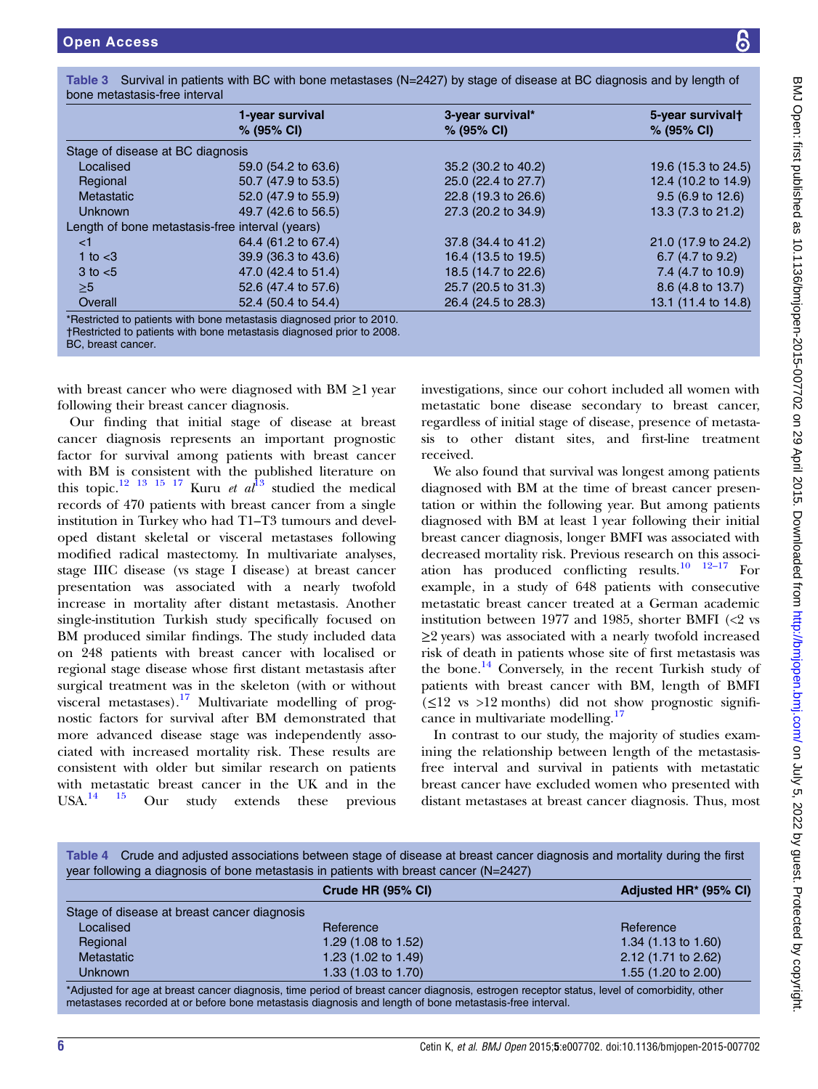Stage of disease at BC diagnosis

Length of bone metastasis-free interval (years)

| ine metastasis-tree interval                                                                                                                                                                                                                                                                                                                                                                                                                                                                            |                                                                                                                                                                                                                                                                                                                                                                                                                                                                                                                                                                  |                                |
|---------------------------------------------------------------------------------------------------------------------------------------------------------------------------------------------------------------------------------------------------------------------------------------------------------------------------------------------------------------------------------------------------------------------------------------------------------------------------------------------------------|------------------------------------------------------------------------------------------------------------------------------------------------------------------------------------------------------------------------------------------------------------------------------------------------------------------------------------------------------------------------------------------------------------------------------------------------------------------------------------------------------------------------------------------------------------------|--------------------------------|
| 1-year survival<br>% (95% CI)                                                                                                                                                                                                                                                                                                                                                                                                                                                                           | 3-year survival*<br>% (95% CI)                                                                                                                                                                                                                                                                                                                                                                                                                                                                                                                                   | 5-year survivalt<br>% (95% CI) |
| age of disease at BC diagnosis                                                                                                                                                                                                                                                                                                                                                                                                                                                                          |                                                                                                                                                                                                                                                                                                                                                                                                                                                                                                                                                                  |                                |
| Localised<br>59.0 (54.2 to 63.6)                                                                                                                                                                                                                                                                                                                                                                                                                                                                        | 35.2 (30.2 to 40.2)                                                                                                                                                                                                                                                                                                                                                                                                                                                                                                                                              | 19.6 (15.3 to 24.5)            |
| Regional<br>50.7 (47.9 to 53.5)                                                                                                                                                                                                                                                                                                                                                                                                                                                                         | 25.0 (22.4 to 27.7)                                                                                                                                                                                                                                                                                                                                                                                                                                                                                                                                              | 12.4 (10.2 to 14.9)            |
| <b>Metastatic</b><br>52.0 (47.9 to 55.9)                                                                                                                                                                                                                                                                                                                                                                                                                                                                | 22.8 (19.3 to 26.6)                                                                                                                                                                                                                                                                                                                                                                                                                                                                                                                                              | $9.5(6.9 \text{ to } 12.6)$    |
| Unknown<br>49.7 (42.6 to 56.5)                                                                                                                                                                                                                                                                                                                                                                                                                                                                          | 27.3 (20.2 to 34.9)                                                                                                                                                                                                                                                                                                                                                                                                                                                                                                                                              | 13.3 (7.3 to 21.2)             |
| ngth of bone metastasis-free interval (years)                                                                                                                                                                                                                                                                                                                                                                                                                                                           |                                                                                                                                                                                                                                                                                                                                                                                                                                                                                                                                                                  |                                |
| 64.4 (61.2 to 67.4)<br><1                                                                                                                                                                                                                                                                                                                                                                                                                                                                               | 37.8 (34.4 to 41.2)                                                                                                                                                                                                                                                                                                                                                                                                                                                                                                                                              | 21.0 (17.9 to 24.2)            |
| 1 to $<$ 3<br>39.9 (36.3 to 43.6)                                                                                                                                                                                                                                                                                                                                                                                                                                                                       | 16.4 (13.5 to 19.5)                                                                                                                                                                                                                                                                                                                                                                                                                                                                                                                                              | 6.7 $(4.7 \text{ to } 9.2)$    |
| $3$ to $<$ 5<br>47.0 (42.4 to 51.4)                                                                                                                                                                                                                                                                                                                                                                                                                                                                     | 18.5 (14.7 to 22.6)                                                                                                                                                                                                                                                                                                                                                                                                                                                                                                                                              | 7.4 (4.7 to 10.9)              |
| $\geq 5$<br>52.6 (47.4 to 57.6)                                                                                                                                                                                                                                                                                                                                                                                                                                                                         | 25.7 (20.5 to 31.3)                                                                                                                                                                                                                                                                                                                                                                                                                                                                                                                                              | $8.6$ (4.8 to 13.7)            |
| Overall<br>52.4 (50.4 to 54.4)                                                                                                                                                                                                                                                                                                                                                                                                                                                                          | 26.4 (24.5 to 28.3)                                                                                                                                                                                                                                                                                                                                                                                                                                                                                                                                              | 13.1 (11.4 to 14.8)            |
| estricted to patients with bone metastasis diagnosed prior to 2010.<br>lestricted to patients with bone metastasis diagnosed prior to 2008.<br>c, breast cancer.                                                                                                                                                                                                                                                                                                                                        |                                                                                                                                                                                                                                                                                                                                                                                                                                                                                                                                                                  |                                |
| owing their breast cancer diagnosis.<br>ur finding that initial stage of disease at breast<br>cer diagnosis represents an important prognostic<br>or for survival among patients with breast cancer<br>1 BM is consistent with the published literature on<br>topic. <sup>12</sup> <sup>13</sup> <sup>15</sup> <sup>17</sup> Kuru <i>et al</i> <sup>13</sup> studied the medical<br>ords of 470 patients with breast cancer from a single                                                               | metastatic bone disease secondary to breast cance<br>regardless of initial stage of disease, presence of metast<br>sis to other distant sites, and first-line treatmen<br>received.<br>We also found that survival was longest among patien<br>diagnosed with BM at the time of breast cancer prese<br>tation or within the following year. But among patien                                                                                                                                                                                                     |                                |
| itution in Turkey who had T1-T3 tumours and devel-<br>d distant skeletal or visceral metastases following<br>dified radical mastectomy. In multivariate analyses,<br>e IIIC disease (vs stage I disease) at breast cancer<br>sentation was associated with a nearly twofold<br>rease in mortality after distant metastasis. Another<br>rle-institution Turkish study specifically focused on<br>produced similar findings. The study included data<br>248 patients with breast cancer with localised or | diagnosed with BM at least 1 year following their initi<br>breast cancer diagnosis, longer BMFI was associated wit<br>decreased mortality risk. Previous research on this assoc<br>ation has produced conflicting results. <sup>10</sup> $12-17$ Fe<br>example, in a study of 648 patients with consecutiv<br>metastatic breast cancer treated at a German academ<br>institution between 1977 and 1985, shorter BMFI $\langle$ <2<br>$\geq$ 2 years) was associated with a nearly twofold increase<br>risk of death in patients whose site of first metastasis w |                                |

<span id="page-5-0"></span>Table 3 Survival in patients with BC with bone metastases (N=2427) by stage of disease at BC diagnosis and by length of bone metastasis-free interval

BC, breast cancer.

with breast cancer who were diagnosed with  $B$ following their breast cancer diagnosis.

Our finding that initial stage of disea cancer diagnosis represents an important factor for survival among patients with with BM is consistent with the published literature on this topic.<sup>12 [13](#page-7-0) 15</sup> <sup>17</sup> Kuru *et al*<sup>13</sup> studied the medical records of 470 patients with breast cancer institution in Turkey who had T1–T3 tumours oped distant skeletal or visceral metasta modified radical mastectomy. In multivar stage IIIC disease (vs stage I disease) at presentation was associated with a ne increase in mortality after distant metast single-institution Turkish study specifically BM produced similar findings. The study on 248 patients with breast cancer with regional stage disease whose first distant metastasis after surgical treatment was in the skeleton (with or without visceral metastases).[17](#page-7-0) Multivariate modelling of prognostic factors for survival after BM demonstrated that more advanced disease stage was independently associated with increased mortality risk. These results are consistent with older but similar research on patients with metastatic breast cancer in the UK and in the USA. $^{14}$  15 Our study extends these previous

mong patients ancer presennong patients g their initial ssociated with on this associ- $\frac{10}{10}$  12–17 For h consecutive nan academic  $r$  BMFI ( $<$ 2 vs old increased metastasis was the bone.[14](#page-7-0) Conversely, in the recent Turkish study of patients with breast cancer with BM, length of BMFI  $(\leq 12$  vs >12 months) did not show prognostic signifi-cance in multivariate modelling.<sup>[17](#page-7-0)</sup>

In contrast to our study, the majority of studies examining the relationship between length of the metastasisfree interval and survival in patients with metastatic breast cancer have excluded women who presented with distant metastases at breast cancer diagnosis. Thus, most

Table 4 Crude and adjusted associations between stage of disease at breast cancer diagnosis and mortality during the first year following a diagnosis of bone metastasis in patients with breast cancer (N=2427)

|                                             | Crude HR (95% CI)                                                                                                                                                                                                             | Adjusted HR* (95% CI)          |
|---------------------------------------------|-------------------------------------------------------------------------------------------------------------------------------------------------------------------------------------------------------------------------------|--------------------------------|
| Stage of disease at breast cancer diagnosis |                                                                                                                                                                                                                               |                                |
| Localised                                   | Reference                                                                                                                                                                                                                     | Reference                      |
| Regional                                    | 1.29 $(1.08 \text{ to } 1.52)$                                                                                                                                                                                                | 1.34 $(1.13 \text{ to } 1.60)$ |
| Metastatic                                  | 1.23 (1.02 to 1.49)                                                                                                                                                                                                           | 2.12 (1.71 to 2.62)            |
| <b>Unknown</b>                              | 1.33 $(1.03 \text{ to } 1.70)$                                                                                                                                                                                                | 1.55 (1.20 to 2.00)            |
|                                             | *Asilicated for one of broads and or dispression that popular laterated and one of a contracted and contracted as a set of the set of a set of the set of a set of the set of the set of the set of the set of the set of the |                                |

\*Adjusted for age at breast cancer diagnosis, time period of breast cancer diagnosis, estrogen receptor status, level of comorbidity, other metastases recorded at or before bone metastasis diagnosis and length of bone metastasis-free interval.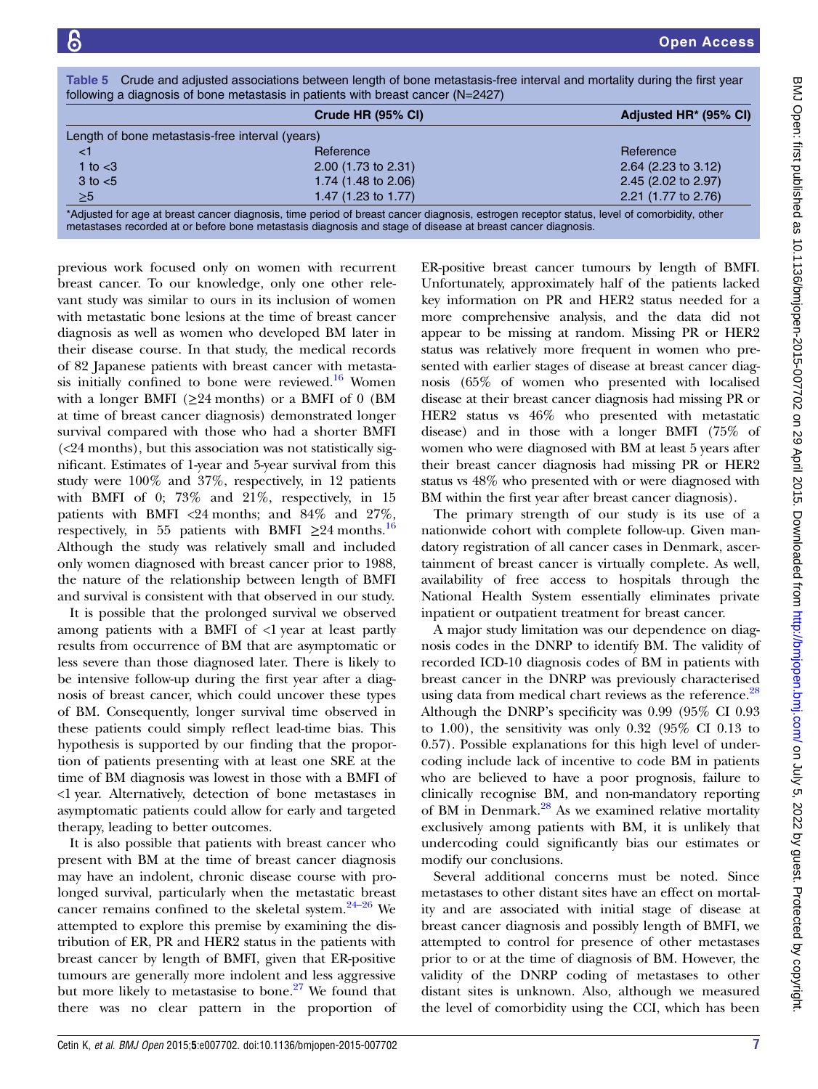| following a diagnosis of bone metastasis in patients with breast cancer $(N=2427)$ |                                                                                                                                             |                                   |  |
|------------------------------------------------------------------------------------|---------------------------------------------------------------------------------------------------------------------------------------------|-----------------------------------|--|
|                                                                                    | Crude HR (95% CI)                                                                                                                           | Adjusted HR <sup>*</sup> (95% CI) |  |
| Length of bone metastasis-free interval (years)                                    |                                                                                                                                             |                                   |  |
| <1                                                                                 | Reference                                                                                                                                   | Reference                         |  |
| 1 to $<$ 3                                                                         | 2.00 (1.73 to 2.31)                                                                                                                         | $2.64$ (2.23 to 3.12)             |  |
| $3$ to $< 5$                                                                       | 1.74 (1.48 to 2.06)                                                                                                                         | 2.45 (2.02 to 2.97)               |  |
| $\geq 5$                                                                           | 1.47 (1.23 to 1.77)                                                                                                                         | 2.21 (1.77 to 2.76)               |  |
|                                                                                    | *Adjusted for age at breast cancer diagnosis, time period of breast cancer diagnosis, estrogen receptor status, level of comorbidity, other |                                   |  |

<span id="page-6-0"></span>Table 5 Crude and adjusted associations between length of bone metastasis-free interval and mortality during the first year

\*Adjusted for age at breast cancer diagnosis, time period of breast cancer diagnosis, estrogen receptor status, level of comorbidity, other metastases recorded at or before bone metastasis diagnosis and stage of disease at breast cancer diagnosis.

previous work focused only on women with recurrent breast cancer. To our knowledge, only one other relevant study was similar to ours in its inclusion of women with metastatic bone lesions at the time of breast cancer diagnosis as well as women who developed BM later in their disease course. In that study, the medical records of 82 Japanese patients with breast cancer with metasta-sis initially confined to bone were reviewed.<sup>[16](#page-7-0)</sup> Women with a longer BMFI ( $\geq$ 24 months) or a BMFI of 0 (BM at time of breast cancer diagnosis) demonstrated longer survival compared with those who had a shorter BMFI  $\left($  <24 months), but this association was not statistically significant. Estimates of 1-year and 5-year survival from this study were 100% and 37%, respectively, in 12 patients with BMFI of 0; 73% and 21%, respectively, in 15 patients with BMFI <24 months; and 84% and 27%, respectively, in 55 patients with BMFI  $\geq$ 24 months.<sup>[16](#page-7-0)</sup> Although the study was relatively small and included only women diagnosed with breast cancer prior to 1988, the nature of the relationship between length of BMFI and survival is consistent with that observed in our study.

It is possible that the prolonged survival we observed among patients with a BMFI of  $\langle$ 1 year at least partly results from occurrence of BM that are asymptomatic or less severe than those diagnosed later. There is likely to be intensive follow-up during the first year after a diagnosis of breast cancer, which could uncover these types of BM. Consequently, longer survival time observed in these patients could simply reflect lead-time bias. This hypothesis is supported by our finding that the proportion of patients presenting with at least one SRE at the time of BM diagnosis was lowest in those with a BMFI of <1 year. Alternatively, detection of bone metastases in asymptomatic patients could allow for early and targeted therapy, leading to better outcomes.

It is also possible that patients with breast cancer who present with BM at the time of breast cancer diagnosis may have an indolent, chronic disease course with prolonged survival, particularly when the metastat[ic br](#page-7-0)east cancer remains confined to the skeletal system. $24-26$  We attempted to explore this premise by examining the distribution of ER, PR and HER2 status in the patients with breast cancer by length of BMFI, given that ER-positive tumours are generally more indolent and less aggressive but more likely to metastasise to bone. $27$  We found that there was no clear pattern in the proportion of ER-positive breast cancer tumours by length of BMFI. Unfortunately, approximately half of the patients lacked key information on PR and HER2 status needed for a more comprehensive analysis, and the data did not appear to be missing at random. Missing PR or HER2 status was relatively more frequent in women who presented with earlier stages of disease at breast cancer diagnosis (65% of women who presented with localised disease at their breast cancer diagnosis had missing PR or HER2 status vs 46% who presented with metastatic disease) and in those with a longer BMFI (75% of women who were diagnosed with BM at least 5 years after their breast cancer diagnosis had missing PR or HER2 status vs 48% who presented with or were diagnosed with BM within the first year after breast cancer diagnosis).

The primary strength of our study is its use of a nationwide cohort with complete follow-up. Given mandatory registration of all cancer cases in Denmark, ascertainment of breast cancer is virtually complete. As well, availability of free access to hospitals through the National Health System essentially eliminates private inpatient or outpatient treatment for breast cancer.

A major study limitation was our dependence on diagnosis codes in the DNRP to identify BM. The validity of recorded ICD-10 diagnosis codes of BM in patients with breast cancer in the DNRP was previously characterised using data from medical chart reviews as the reference.<sup>[28](#page-7-0)</sup> Although the DNRP's specificity was 0.99 (95% CI 0.93 to 1.00), the sensitivity was only  $0.32$  (95% CI 0.13 to 0.57). Possible explanations for this high level of undercoding include lack of incentive to code BM in patients who are believed to have a poor prognosis, failure to clinically recognise BM, and non-mandatory reporting of BM in Denmark.<sup>[28](#page-7-0)</sup> As we examined relative mortality exclusively among patients with BM, it is unlikely that undercoding could significantly bias our estimates or modify our conclusions.

Several additional concerns must be noted. Since metastases to other distant sites have an effect on mortality and are associated with initial stage of disease at breast cancer diagnosis and possibly length of BMFI, we attempted to control for presence of other metastases prior to or at the time of diagnosis of BM. However, the validity of the DNRP coding of metastases to other distant sites is unknown. Also, although we measured the level of comorbidity using the CCI, which has been